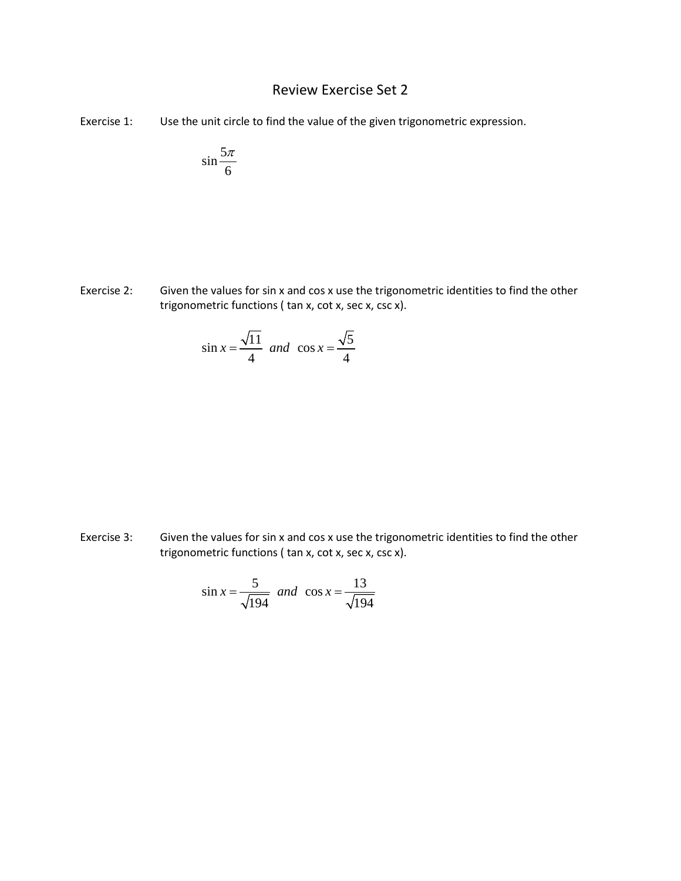## Review Exercise Set 2

Exercise 1: Use the unit circle to find the value of the given trigonometric expression.

$$
\sin\frac{5\pi}{6}
$$

Exercise 2: Given the values for sin x and cos x use the trigonometric identities to find the other trigonometric functions ( tan x, cot x, sec x, csc x).

$$
\sin x = \frac{\sqrt{11}}{4} \text{ and } \cos x = \frac{\sqrt{5}}{4}
$$

Exercise 3: Given the values for sin x and cos x use the trigonometric identities to find the other trigonometric functions ( tan x, cot x, sec x, csc x).

$$
\sin x = \frac{5}{\sqrt{194}}
$$
 and  $\cos x = \frac{13}{\sqrt{194}}$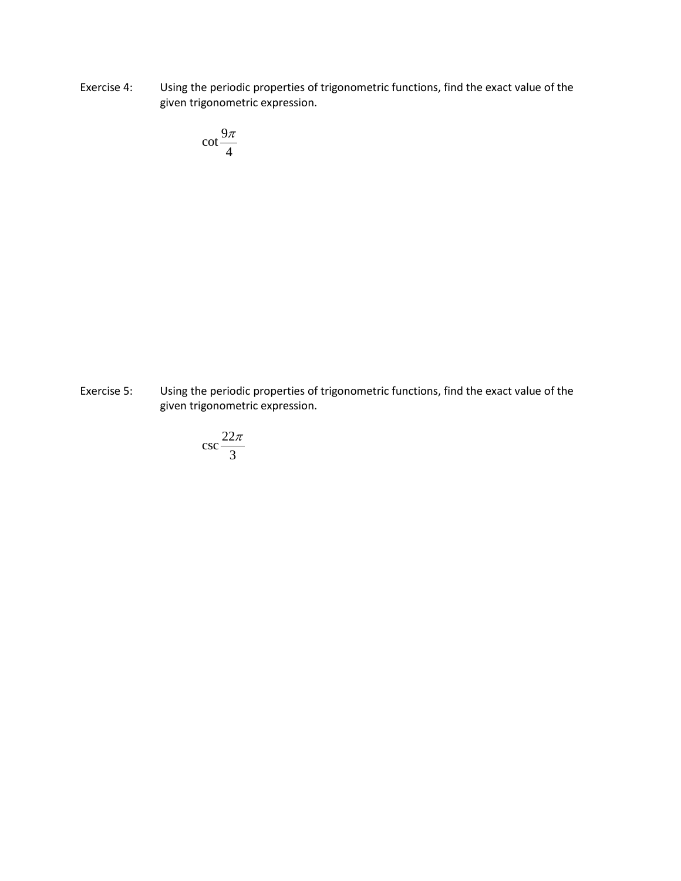Exercise 4: Using the periodic properties of trigonometric functions, find the exact value of the given trigonometric expression.

$$
\cot\frac{9\pi}{4}
$$

Exercise 5: Using the periodic properties of trigonometric functions, find the exact value of the given trigonometric expression.

$$
\csc \frac{22\pi}{3}
$$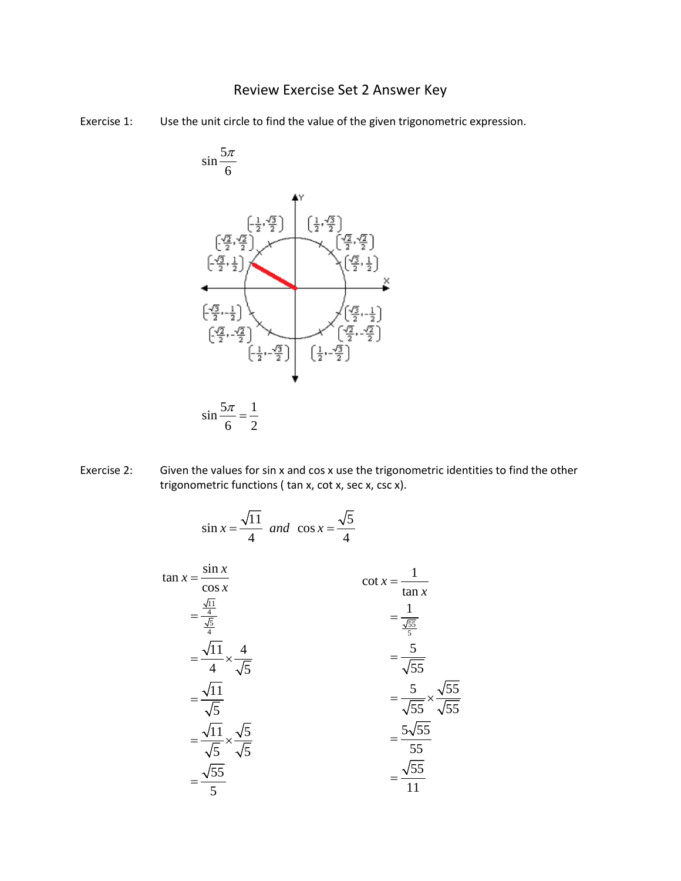## Review Exercise Set 2 Answer Key

Exercise 1: Use the unit circle to find the value of the given trigonometric expression.



Exercise 2: Given the values for sin x and cos x use the trigonometric identities to find the other trigonometric functions ( tan x, cot x, sec x, csc x).

$$
\sin x = \frac{\sqrt{11}}{4} \quad \text{and} \quad \cos x = \frac{\sqrt{5}}{4}
$$
\n
$$
\tan x = \frac{\sin x}{\frac{\sqrt{11}}{4}} = \frac{\frac{\sqrt{11}}{4}}{\frac{\sqrt{5}}{4}} = \frac{\sqrt{11}}{\sqrt{5}} \times \frac{4}{\sqrt{5}}
$$
\n
$$
= \frac{\sqrt{11}}{\sqrt{5}} = \frac{\sqrt{11}}{\sqrt{5}} \times \frac{\sqrt{5}}{\sqrt{5}}
$$
\n
$$
= \frac{\sqrt{11}}{\sqrt{5}} \times \frac{\sqrt{5}}{\sqrt{5}}
$$
\n
$$
= \frac{5}{\sqrt{5}} \times \frac{\sqrt{55}}{\sqrt{5}}
$$
\n
$$
= \frac{5\sqrt{55}}{55}
$$
\n
$$
= \frac{5\sqrt{55}}{55}
$$
\n
$$
= \frac{\sqrt{55}}{5}
$$
\n
$$
= \frac{\sqrt{55}}{11}
$$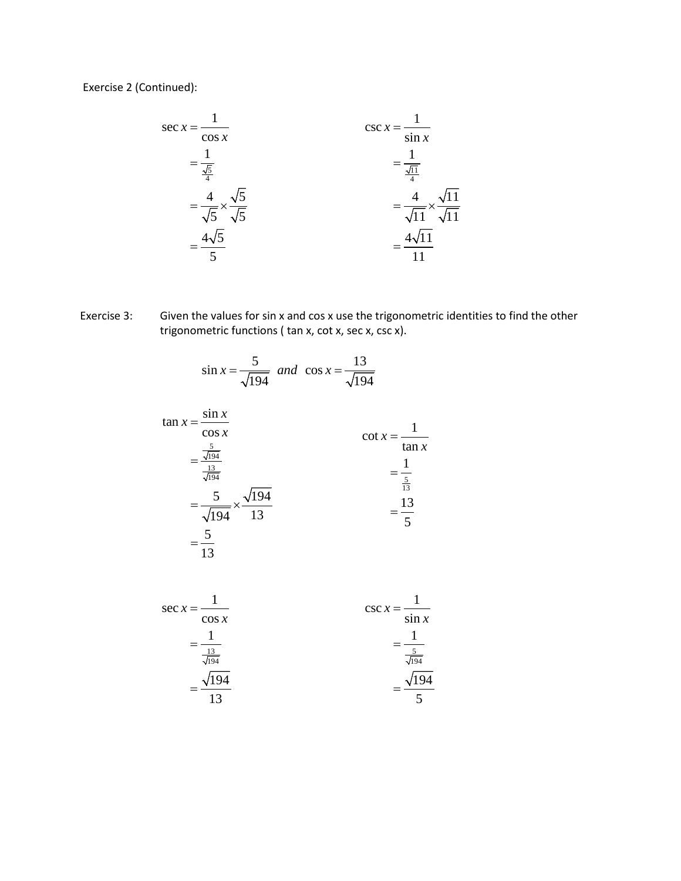Exercise 2 (Continued):



Exercise 3: Given the values for sin x and cos x use the trigonometric identities to find the other trigonometric functions ( tan x, cot x, sec x, csc x).

$$
\sin x = \frac{5}{\sqrt{194}}
$$
 and  $\cos x = \frac{13}{\sqrt{194}}$ 

$$
\tan x = \frac{\sin x}{\cos x} \n= \frac{\frac{5}{\sqrt{194}}}{\frac{13}{\sqrt{194}}} \n= \frac{5}{\sqrt{194}} \times \frac{\sqrt{194}}{13} \n= \frac{5}{13} \n= \frac{5}{13}
$$

$$
\sec x = \frac{1}{\cos x} \qquad \qquad \csc x = \frac{1}{\sin x} \\
= \frac{1}{\frac{13}{\sqrt{194}}} \\
= \frac{\sqrt{194}}{13} \\
= \frac{\sqrt{194}}{5}
$$